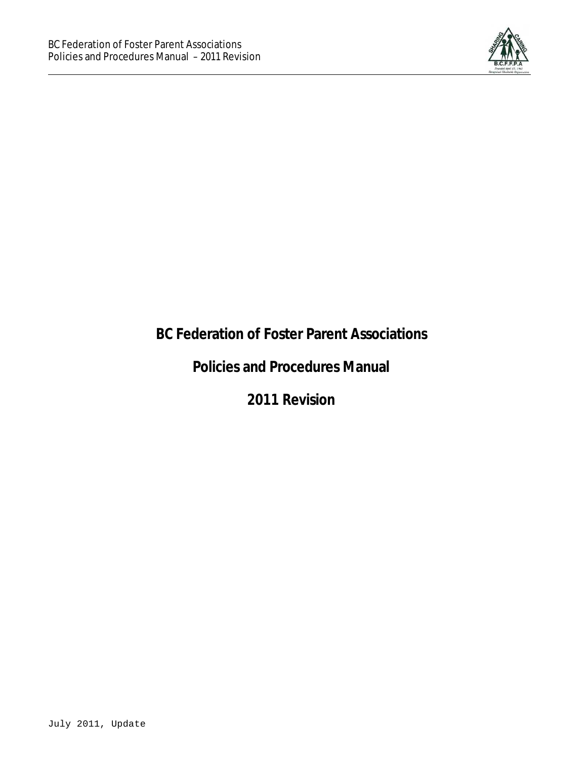

# **BC Federation of Foster Parent Associations**

# **Policies and Procedures Manual**

**2011 Revision**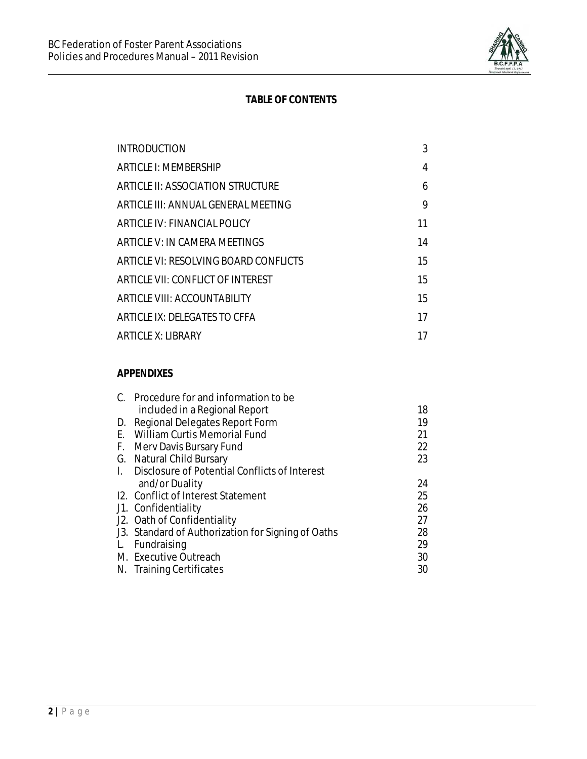

### **TABLE OF CONTENTS**

| 3  |
|----|
| 4  |
| 6  |
| 9  |
| 11 |
| 14 |
| 15 |
| 15 |
| 15 |
| 17 |
| 17 |
|    |

#### *APPENDIXES*

| C. Procedure for and information to be             |    |
|----------------------------------------------------|----|
| included in a Regional Report                      | 18 |
| D. Regional Delegates Report Form                  | 19 |
| E. William Curtis Memorial Fund                    | 21 |
| F. Merv Davis Bursary Fund                         | 22 |
| G. Natural Child Bursary                           | 23 |
| I. Disclosure of Potential Conflicts of Interest   |    |
| and/or Duality                                     | 24 |
| 12. Conflict of Interest Statement                 | 25 |
| J1. Confidentiality                                | 26 |
| J2. Oath of Confidentiality                        | 27 |
| J3. Standard of Authorization for Signing of Oaths | 28 |
| L. Fundraising                                     | 29 |
| M. Executive Outreach                              | 30 |
| N. Training Certificates                           | 30 |
|                                                    |    |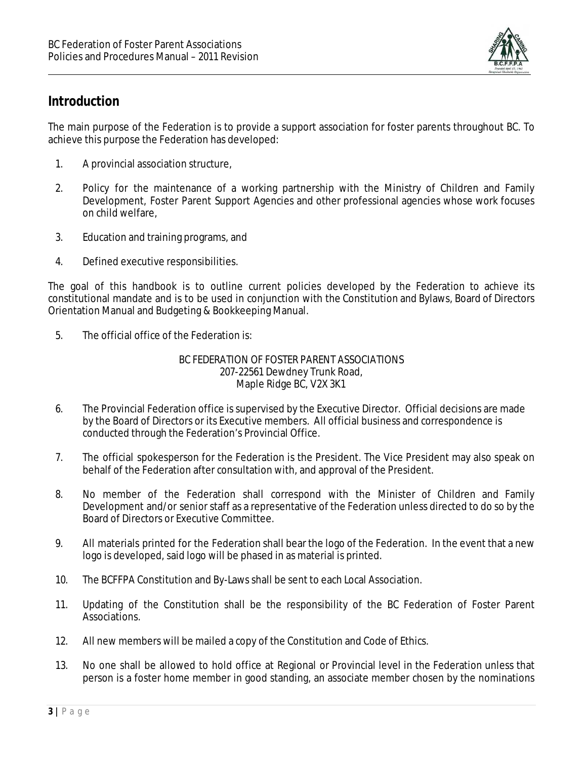

# *Introduction*

The main purpose of the Federation is to provide a support association for foster parents throughout BC. To achieve this purpose the Federation has developed:

- 1. A provincial association structure,
- 2. Policy for the maintenance of a working partnership with the Ministry of Children and Family Development, Foster Parent Support Agencies and other professional agencies whose work focuses on child welfare,
- 3. Education and training programs, and
- 4. Defined executive responsibilities.

The goal of this handbook is to outline current policies developed by the Federation to achieve its constitutional mandate and is to be used in conjunction with the Constitution and Bylaws, Board of Directors Orientation Manual and Budgeting & Bookkeeping Manual.

5. The official office of the Federation is:

### BC FEDERATION OF FOSTER PARENT ASSOCIATIONS 207-22561 Dewdney Trunk Road, Maple Ridge BC, V2X 3K1

- 6. The Provincial Federation office is supervised by the Executive Director. Official decisions are made by the Board of Directors or its Executive members. All official business and correspondence is conducted through the Federation's Provincial Office.
- 7. The official spokesperson for the Federation is the President. The Vice President may also speak on behalf of the Federation after consultation with, and approval of the President.
- 8. No member of the Federation shall correspond with the Minister of Children and Family Development and/or senior staff as a representative of the Federation unless directed to do so by the Board of Directors or Executive Committee.
- 9. All materials printed for the Federation shall bear the logo of the Federation. In the event that a new logo is developed, said logo will be phased in as material is printed.
- 10. The BCFFPA Constitution and By-Laws shall be sent to each Local Association.
- 11. Updating of the Constitution shall be the responsibility of the BC Federation of Foster Parent Associations.
- 12. All new members will be mailed a copy of the Constitution and Code of Ethics.
- 13. No one shall be allowed to hold office at Regional or Provincial level in the Federation unless that person is a foster home member in good standing, an associate member chosen by the nominations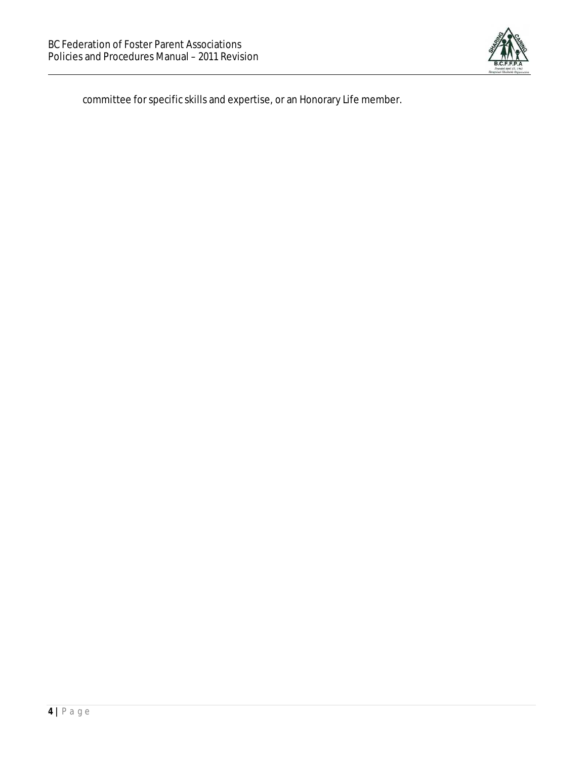

committee for specific skills and expertise, or an Honorary Life member.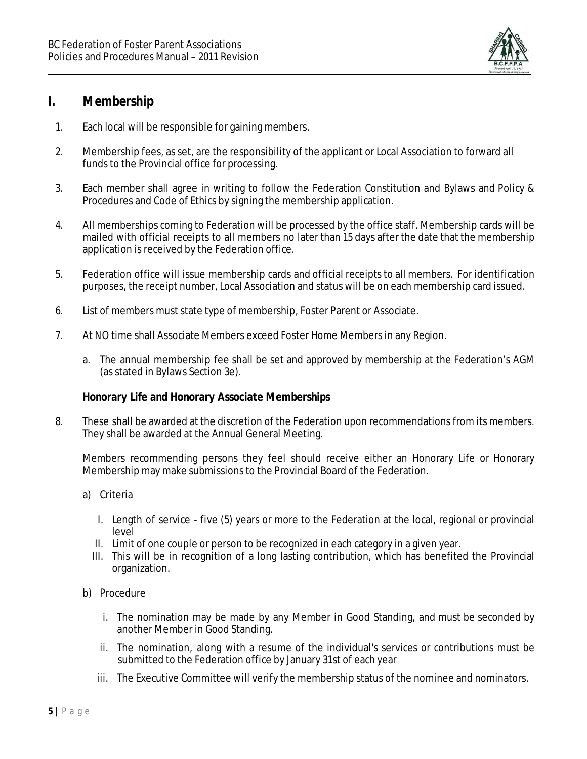

## *I. Membership*

- 1. Each local will be responsible for gaining members.
- 2. Membership fees, as set, are the responsibility of the applicant or Local Association to forward all funds to the Provincial office for processing.
- 3. Each member shall agree in writing to follow the Federation Constitution and Bylaws and Policy & Procedures and Code of Ethics by signing the membership application.
- 4. All memberships coming to Federation will be processed by the office staff. Membership cards will be mailed with official receipts to all members no later than 15 days after the date that the membership application is received by the Federation office.
- 5. Federation office will issue membership cards and official receipts to all members. For identification purposes, the receipt number, Local Association and status will be on each membership card issued.
- 6. List of members must state type of membership, Foster Parent or Associate.
- 7. At NO time shall Associate Members exceed Foster Home Members in any Region.
	- a. The annual membership fee shall be set and approved by membership at the Federation's AGM (as stated in Bylaws Section 3e).

### *Honorary Life and Honorary Associate Memberships*

8. These shall be awarded at the discretion of the Federation upon recommendations from its members. They shall be awarded at the Annual General Meeting.

Members recommending persons they feel should receive either an Honorary Life or Honorary Membership may make submissions to the Provincial Board of the Federation.

- a) Criteria
	- I. Length of service five (5) years or more to the Federation at the local, regional or provincial level
	- II. Limit of one couple or person to be recognized in each category in a given year.
	- III. This will be in recognition of a long lasting contribution, which has benefited the Provincial organization.
- b) Procedure
	- i. The nomination may be made by any Member in Good Standing, and must be seconded by another Member in Good Standing.
	- ii. The nomination, along with a resume of the individual's services or contributions must be submitted to the Federation office by January 31st of each year
	- iii. The Executive Committee will verify the membership status of the nominee and nominators.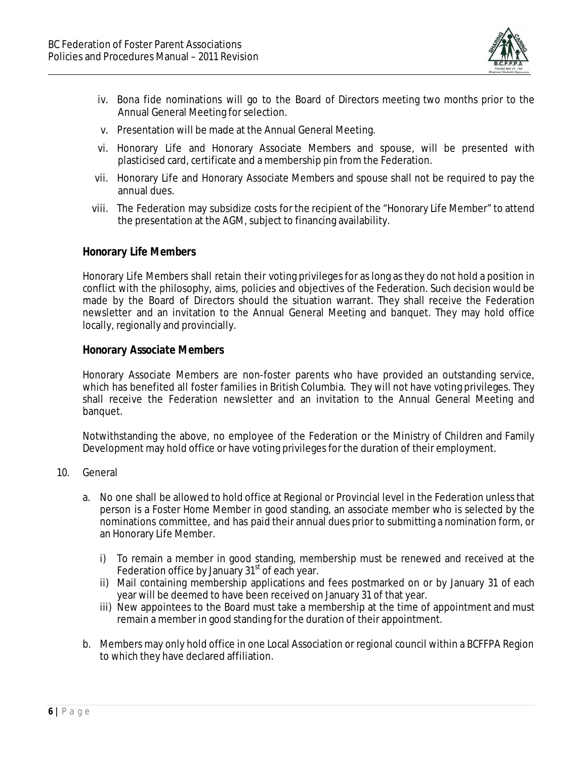

- iv. Bona fide nominations will go to the Board of Directors meeting two months prior to the Annual General Meeting forselection.
- v. Presentation will be made at the Annual General Meeting.
- vi. Honorary Life and Honorary Associate Members and spouse, will be presented with plasticised card, certificate and a membership pin from the Federation.
- vii. Honorary Life and Honorary Associate Members and spouse shall not be required to pay the annual dues.
- viii. The Federation may subsidize costs for the recipient of the "Honorary Life Member" to attend the presentation at the AGM, subject to financing availability.

### *Honorary Life Members*

Honorary Life Members shall retain their voting privileges for as long as they do not hold a position in conflict with the philosophy, aims, policies and objectives of the Federation. Such decision would be made by the Board of Directors should the situation warrant. They shall receive the Federation newsletter and an invitation to the Annual General Meeting and banquet. They may hold office locally, regionally and provincially.

### *Honorary Associate Members*

Honorary Associate Members are non-foster parents who have provided an outstanding service, which has benefited all foster families in British Columbia. They will not have voting privileges. They shall receive the Federation newsletter and an invitation to the Annual General Meeting and banquet.

Notwithstanding the above, no employee of the Federation or the Ministry of Children and Family Development may hold office or have voting privileges for the duration of their employment.

- 10. General
	- a. No one shall be allowed to hold office at Regional or Provincial level in the Federation unless that person is a Foster Home Member in good standing, an associate member who is selected by the nominations committee, and has paid their annual dues prior to submitting a nomination form, or an Honorary Life Member.
		- i) To remain a member in good standing, membership must be renewed and received at the Federation office by January 31<sup>st</sup> of each year.
		- ii) Mail containing membership applications and fees postmarked on or by January 31 of each year will be deemed to have been received on January 31 of that year.
		- iii) New appointees to the Board must take a membership at the time of appointment and must remain a member in good standing for the duration of their appointment.
	- b. Members may only hold office in one Local Association or regional council within a BCFFPA Region to which they have declared affiliation.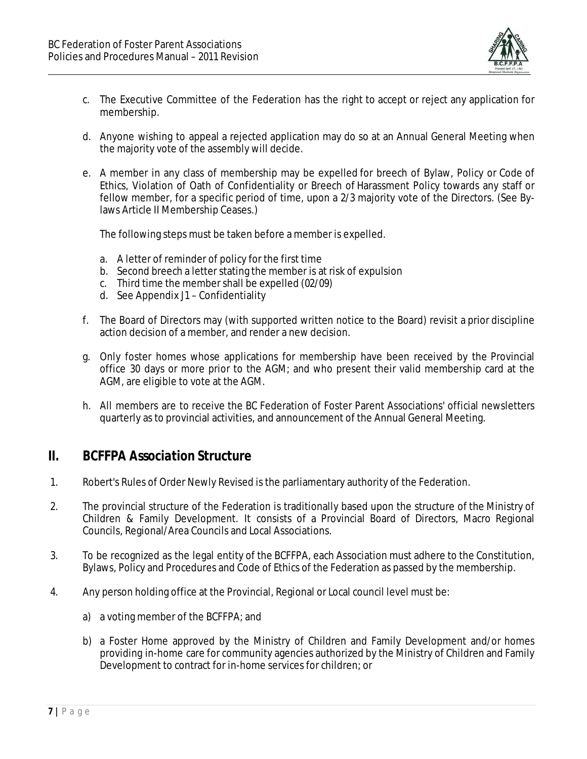

- c. The Executive Committee of the Federation has the right to accept or reject any application for membership.
- d. Anyone wishing to appeal a rejected application may do so at an Annual General Meeting when the majority vote of the assembly will decide.
- e. A member in any class of membership may be expelled for breech of Bylaw, Policy or Code of Ethics, Violation of Oath of Confidentiality or Breech of Harassment Policy towards any staff or fellow member, for a specific period of time, upon a 2/3 majority vote of the Directors. (See Bylaws Article II Membership Ceases.)

The following steps must be taken before a member is expelled.

- a. A letter of reminder of policy for the first time
- b. Second breech a letter stating the member is at risk of expulsion
- c. Third time the membershall be expelled (02/09)
- d. See Appendix J1 Confidentiality
- f. The Board of Directors may (with supported written notice to the Board) revisit a prior discipline action decision of a member, and render a new decision.
- g. Only foster homes whose applications for membership have been received by the Provincial office 30 days or more prior to the AGM; and who present their valid membership card at the AGM, are eligible to vote at the AGM.
- h. All members are to receive the BC Federation of Foster Parent Associations' official newsletters quarterly as to provincial activities, and announcement of the Annual General Meeting.

### *II. BCFFPA Association Structure*

- 1. Robert's Rules of Order Newly Revised is the parliamentary authority of the Federation.
- 2. The provincial structure of the Federation is traditionally based upon the structure of the Ministry of Children & Family Development. It consists of a Provincial Board of Directors, Macro Regional Councils, Regional/Area Councils and Local Associations.
- 3. To be recognized as the legal entity of the BCFFPA, each Association must adhere to the Constitution, Bylaws, Policy and Procedures and Code of Ethics of the Federation as passed by the membership.
- 4. Any person holding office at the Provincial, Regional or Local council level must be:
	- a) a voting member of the BCFFPA; and
	- b) a Foster Home approved by the Ministry of Children and Family Development and/or homes providing in-home care for community agencies authorized by the Ministry of Children and Family Development to contract for in-home services for children; or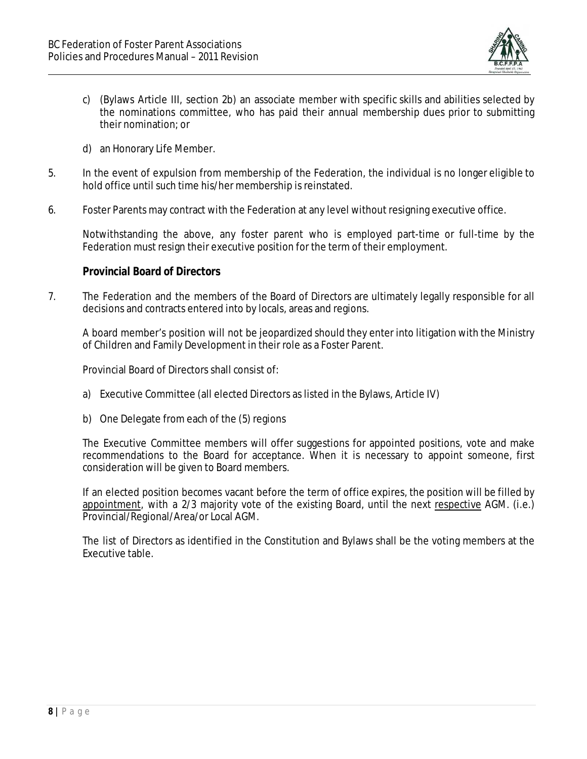

- c) (Bylaws Article III, section 2b) an associate member with specific skills and abilities selected by the nominations committee, who has paid their annual membership dues prior to submitting their nomination; or
- d) an Honorary Life Member.
- 5. In the event of expulsion from membership of the Federation, the individual is no longer eligible to hold office until such time his/her membership is reinstated.
- 6. Foster Parents may contract with the Federation at any level without resigning executive office.

Notwithstanding the above, any foster parent who is employed part-time or full-time by the Federation must resign their executive position for the term of their employment.

#### *Provincial Board of Directors*

7. The Federation and the members of the Board of Directors are ultimately legally responsible for all decisions and contracts entered into by locals, areas and regions.

A board member's position will not be jeopardized should they enter into litigation with the Ministry of Children and Family Development in their role as a Foster Parent.

Provincial Board of Directors shall consist of:

- a) Executive Committee (all elected Directors as listed in the Bylaws, Article IV)
- b) One Delegate from each of the (5) regions

The Executive Committee members will offer suggestions for appointed positions, vote and make recommendations to the Board for acceptance. When it is necessary to appoint someone, first consideration will be given to Board members.

If an elected position becomes vacant before the term of office expires, the position will be filled by appointment, with a 2/3 majority vote of the existing Board, until the next respective AGM. (i.e.) Provincial/Regional/Area/or Local AGM.

The list of Directors as identified in the Constitution and Bylaws shall be the voting members at the Executive table.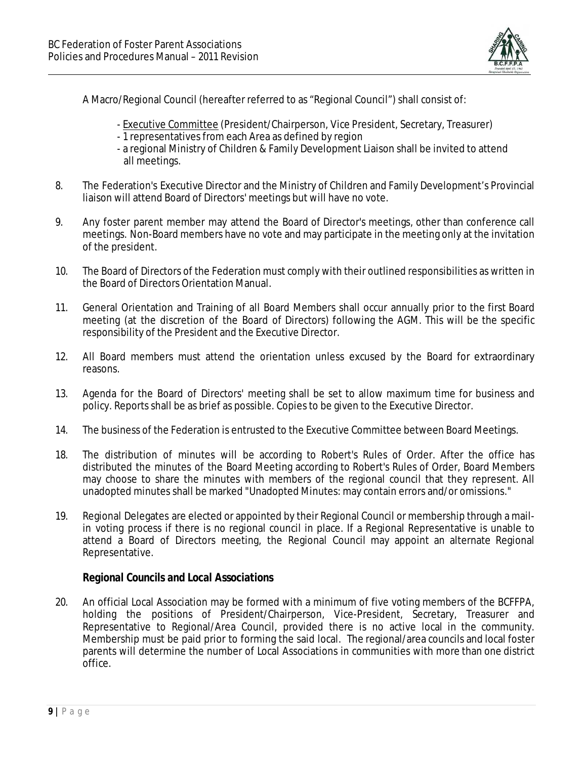

A Macro/Regional Council (hereafter referred to as "Regional Council") shall consist of:

- Executive Committee (President/Chairperson, Vice President, Secretary, Treasurer)
- 1 representatives from each Area as defined by region
- a regional Ministry of Children & Family Development Liaison shall be invited to attend all meetings.
- 8. The Federation's Executive Director and the Ministry of Children and Family Development's Provincial liaison will attend Board of Directors' meetings but will have no vote.
- 9. Any foster parent member may attend the Board of Director's meetings, other than conference call meetings. Non-Board members have no vote and may participate in the meeting only at the invitation of the president.
- 10. The Board of Directors of the Federation must comply with their outlined responsibilities as written in the Board of Directors Orientation Manual.
- 11. General Orientation and Training of all Board Members shall occur annually prior to the first Board meeting (at the discretion of the Board of Directors) following the AGM. This will be the specific responsibility of the President and the Executive Director.
- 12. All Board members must attend the orientation unless excused by the Board for extraordinary reasons.
- 13. Agenda for the Board of Directors' meeting shall be set to allow maximum time for business and policy. Reports shall be as brief as possible. Copies to be given to the Executive Director.
- 14. The business of the Federation is entrusted to the Executive Committee between Board Meetings.
- 18. The distribution of minutes will be according to Robert's Rules of Order. After the office has distributed the minutes of the Board Meeting according to Robert's Rules of Order, Board Members may choose to share the minutes with members of the regional council that they represent. All unadopted minutes shall be marked "Unadopted Minutes: may contain errors and/or omissions."
- 19. Regional Delegates are elected or appointed by their Regional Council or membership through a mailin voting process if there is no regional council in place. If a Regional Representative is unable to attend a Board of Directors meeting, the Regional Council may appoint an alternate Regional Representative.

### *Regional Councils and Local Associations*

20. An official Local Association may be formed with a minimum of five voting members of the BCFFPA, holding the positions of President/Chairperson, Vice-President, Secretary, Treasurer and Representative to Regional/Area Council, provided there is no active local in the community. Membership must be paid prior to forming the said local. The regional/area councils and local foster parents will determine the number of Local Associations in communities with more than one district office.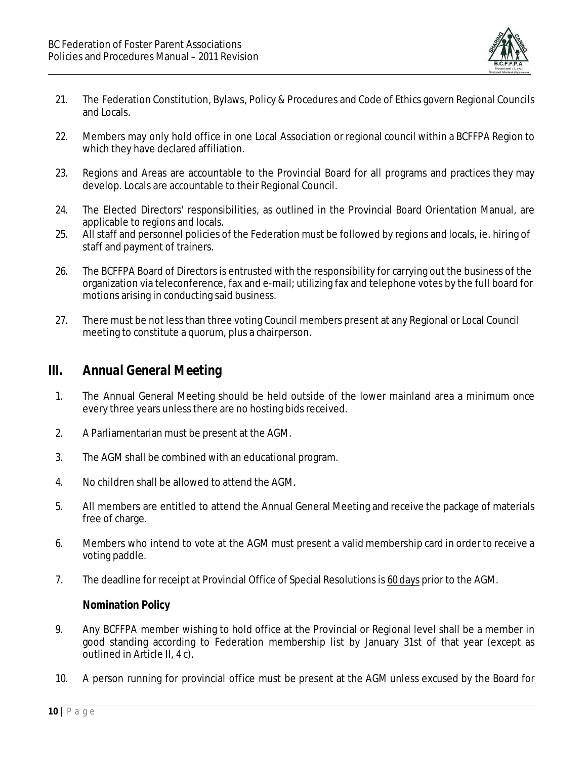

- 21. The Federation Constitution, Bylaws, Policy & Procedures and Code of Ethics govern Regional Councils and Locals.
- 22. Members may only hold office in one Local Association or regional council within a BCFFPA Region to which they have declared affiliation.
- 23. Regions and Areas are accountable to the Provincial Board for all programs and practices they may develop. Locals are accountable to their Regional Council.
- 24. The Elected Directors' responsibilities, as outlined in the Provincial Board Orientation Manual, are applicable to regions and locals.
- 25. All staff and personnel policies of the Federation must be followed by regions and locals, ie. hiring of staff and payment of trainers.
- 26. The BCFFPA Board of Directors is entrusted with the responsibility for carrying out the business of the organization via teleconference, fax and e-mail; utilizing fax and telephone votes by the full board for motions arising in conducting said business.
- 27. There must be not less than three voting Council members present at any Regional or Local Council meeting to constitute a quorum, plus a chairperson.

### *III. Annual General Meeting*

- 1. The Annual General Meeting should be held outside of the lower mainland area a minimum once every three years unless there are no hosting bids received.
- 2. A Parliamentarian must be present at the AGM.
- 3. The AGM shall be combined with an educational program.
- 4. No children shall be allowed to attend the AGM.
- 5. All members are entitled to attend the Annual General Meeting and receive the package of materials free of charge.
- 6. Members who intend to vote at the AGM must present a valid membership card in order to receive a voting paddle.
- 7. The deadline for receipt at Provincial Office of Special Resolutions is 60 days prior to the AGM.

### *Nomination Policy*

- 9. Any BCFFPA member wishing to hold office at the Provincial or Regional level shall be a member in good standing according to Federation membership list by January 31st of that year (except as outlined in Article II, 4 c).
- 10. A person running for provincial office must be present at the AGM unless excused by the Board for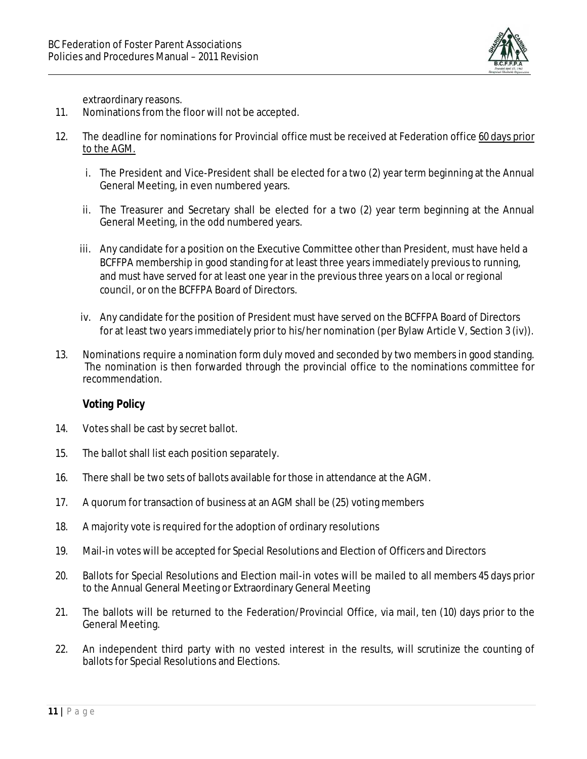

extraordinary reasons.

- 11. Nominations from the floor will not be accepted.
- 12. The deadline for nominations for Provincial office must be received at Federation office 60 days prior to the AGM.
	- i. The President and Vice-President shall be elected for a two (2) year term beginning at the Annual General Meeting, in even numbered years.
	- ii. The Treasurer and Secretary shall be elected for a two (2) year term beginning at the Annual General Meeting, in the odd numbered years.
	- iii. Any candidate for a position on the Executive Committee other than President, must have held a BCFFPA membership in good standing for at least three years immediately previous to running, and must have served for at least one year in the previous three years on a local or regional council, or on the BCFFPA Board of Directors.
	- iv. Any candidate for the position of President must have served on the BCFFPA Board of Directors for at least two years immediately prior to his/her nomination (per Bylaw Article V, Section 3 (iv)).
- 13. Nominations require a nomination form duly moved and seconded by two members in good standing. The nomination is then forwarded through the provincial office to the nominations committee for recommendation.

### *Voting Policy*

- 14. Votes shall be cast by secret ballot.
- 15. The ballot shall list each position separately.
- 16. There shall be two sets of ballots available for those in attendance at the AGM.
- 17. A quorum for transaction of business at an AGM shall be (25) voting members
- 18. A majority vote is required for the adoption of ordinary resolutions
- 19. Mail-in votes will be accepted for Special Resolutions and Election of Officers and Directors
- 20. Ballots for Special Resolutions and Election mail-in votes will be mailed to all members 45 days prior to the Annual General Meeting or Extraordinary General Meeting
- 21. The ballots will be returned to the Federation/Provincial Office, via mail, ten (10) days prior to the General Meeting.
- 22. An independent third party with no vested interest in the results, will scrutinize the counting of ballots for Special Resolutions and Elections.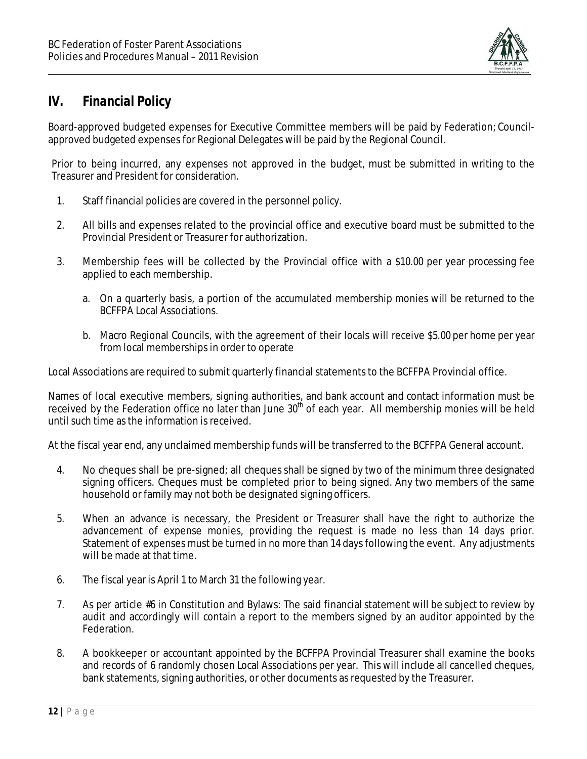

# *IV. Financial Policy*

Board-approved budgeted expenses for Executive Committee members will be paid by Federation; Councilapproved budgeted expenses for Regional Delegates will be paid by the Regional Council.

Prior to being incurred, any expenses not approved in the budget, must be submitted in writing to the Treasurer and President for consideration.

- 1. Staff financial policies are covered in the personnel policy.
- 2. All bills and expenses related to the provincial office and executive board must be submitted to the Provincial President or Treasurer for authorization.
- 3. Membership fees will be collected by the Provincial office with a \$10.00 per year processing fee applied to each membership.
	- a. On a quarterly basis, a portion of the accumulated membership monies will be returned to the BCFFPA Local Associations.
	- b. Macro Regional Councils, with the agreement of their locals will receive \$5.00 per home per year from local memberships in order to operate

Local Associations are required to submit quarterly financial statements to the BCFFPA Provincial office.

Names of local executive members, signing authorities, and bank account and contact information must be received by the Federation office no later than June 30<sup>th</sup> of each year. All membership monies will be held until such time as the information is received.

At the fiscal year end, any unclaimed membership funds will be transferred to the BCFFPA General account.

- 4. No cheques shall be pre-signed; all cheques shall be signed by two of the minimum three designated signing officers. Cheques must be completed prior to being signed. Any two members of the same household or family may not both be designated signing officers.
- 5. When an advance is necessary, the President or Treasurer shall have the right to authorize the advancement of expense monies, providing the request is made no less than 14 days prior. Statement of expenses must be turned in no more than 14 days following the event. Any adjustments will be made at that time.
- 6. The fiscal year is April 1 to March 31 the following year.
- 7. As per article #6 in Constitution and Bylaws: The said financial statement will be subject to review by audit and accordingly will contain a report to the members signed by an auditor appointed by the Federation.
- 8. A bookkeeper or accountant appointed by the BCFFPA Provincial Treasurer shall examine the books and records of 6 randomly chosen Local Associations per year. This will include all cancelled cheques, bank statements, signing authorities, or other documents as requested by the Treasurer.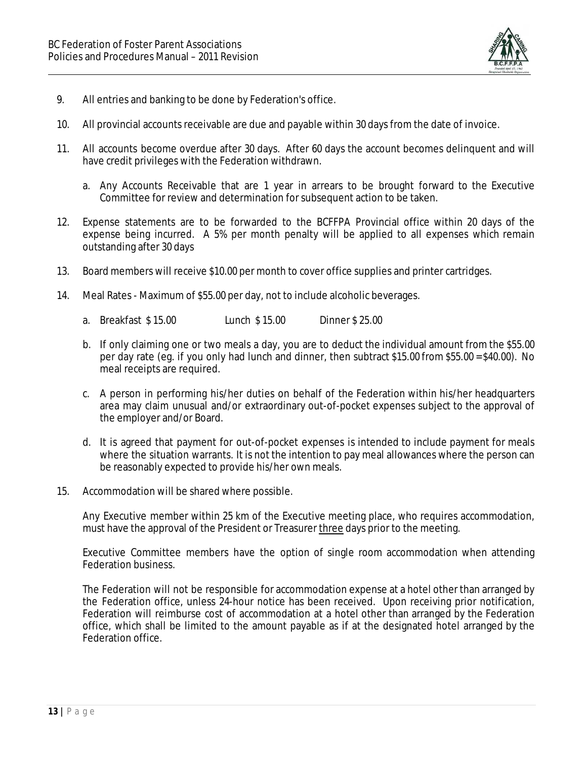

- 9. All entries and banking to be done by Federation's office.
- 10. All provincial accounts receivable are due and payable within 30 days from the date of invoice.
- 11. All accounts become overdue after 30 days. After 60 days the account becomes delinquent and will have credit privileges with the Federation withdrawn.
	- a. Any Accounts Receivable that are 1 year in arrears to be brought forward to the Executive Committee for review and determination forsubsequent action to be taken.
- 12. Expense statements are to be forwarded to the BCFFPA Provincial office within 20 days of the expense being incurred. A 5% per month penalty will be applied to all expenses which remain outstanding after 30 days
- 13. Board members will receive \$10.00 per month to cover office supplies and printer cartridges.
- 14. Meal Rates Maximum of \$55.00 per day, not to include alcoholic beverages.
	- a. Breakfast \$ 15.00 Lunch \$ 15.00 Dinner \$ 25.00
	- b. If only claiming one or two meals a day, you are to deduct the individual amount from the \$55.00 per day rate (eg. if you only had lunch and dinner, then subtract \$15.00 from \$55.00 = \$40.00). No meal receipts are required.
	- c. A person in performing his/her duties on behalf of the Federation within his/her headquarters area may claim unusual and/or extraordinary out-of-pocket expenses subject to the approval of the employer and/or Board.
	- d. It is agreed that payment for out-of-pocket expenses is intended to include payment for meals where the situation warrants. It is not the intention to pay meal allowances where the person can be reasonably expected to provide his/her own meals.
- 15. Accommodation will be shared where possible.

Any Executive member within 25 km of the Executive meeting place, who requires accommodation, must have the approval of the President or Treasurer three days prior to the meeting.

Executive Committee members have the option of single room accommodation when attending Federation business.

The Federation will not be responsible for accommodation expense at a hotel other than arranged by the Federation office, unless 24-hour notice has been received. Upon receiving prior notification, Federation will reimburse cost of accommodation at a hotel other than arranged by the Federation office, which shall be limited to the amount payable as if at the designated hotel arranged by the Federation office.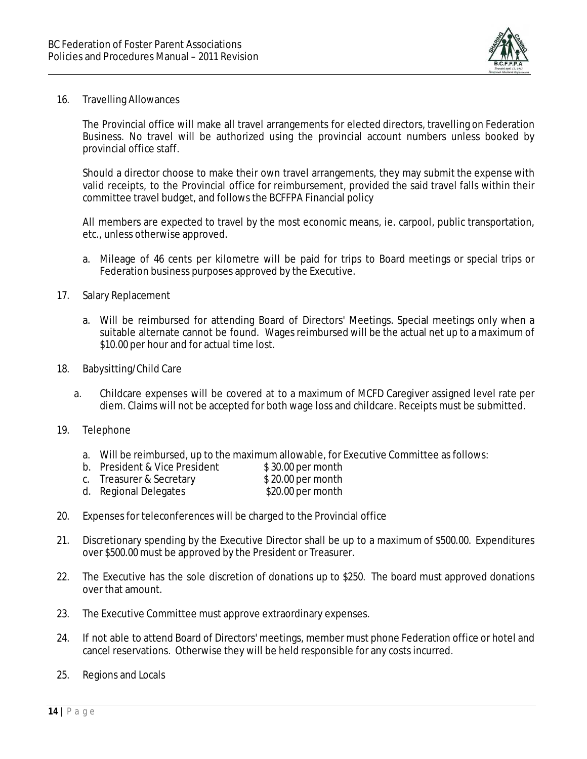

#### 16. Travelling Allowances

The Provincial office will make all travel arrangements for elected directors, travelling on Federation Business. No travel will be authorized using the provincial account numbers unless booked by provincial office staff.

Should a director choose to make their own travel arrangements, they may submit the expense with valid receipts, to the Provincial office for reimbursement, provided the said travel falls within their committee travel budget, and follows the BCFFPA Financial policy

All members are expected to travel by the most economic means, ie. carpool, public transportation, etc., unless otherwise approved.

- a. Mileage of 46 cents per kilometre will be paid for trips to Board meetings or special trips or Federation business purposes approved by the Executive.
- 17. Salary Replacement
	- a. Will be reimbursed for attending Board of Directors' Meetings. Special meetings only when a suitable alternate cannot be found. Wages reimbursed will be the actual net up to a maximum of \$10.00 per hour and for actual time lost.
- 18. Babysitting/Child Care
	- a. Childcare expenses will be covered at to a maximum of MCFD Caregiver assigned level rate per diem. Claims will not be accepted for both wage loss and childcare. Receipts must be submitted.
- 19. Telephone
	- a. Will be reimbursed, up to the maximum allowable, for Executive Committee as follows:
	- b. President & Vice President \$30.00 per month<br>c. Treasurer & Secretary \$20.00 per month
	- c. Treasurer & Secretary
	- d. Regional Delegates \$20.00 per month
- 20. Expenses for teleconferences will be charged to the Provincial office
- 21. Discretionary spending by the Executive Director shall be up to a maximum of \$500.00. Expenditures over \$500.00must be approved by the President or Treasurer.
- 22. The Executive has the sole discretion of donations up to \$250. The board must approved donations over that amount.
- 23. The Executive Committee must approve extraordinary expenses.
- 24. If not able to attend Board of Directors' meetings, member must phone Federation office or hotel and cancel reservations. Otherwise they will be held responsible for any costs incurred.
- 25. Regions and Locals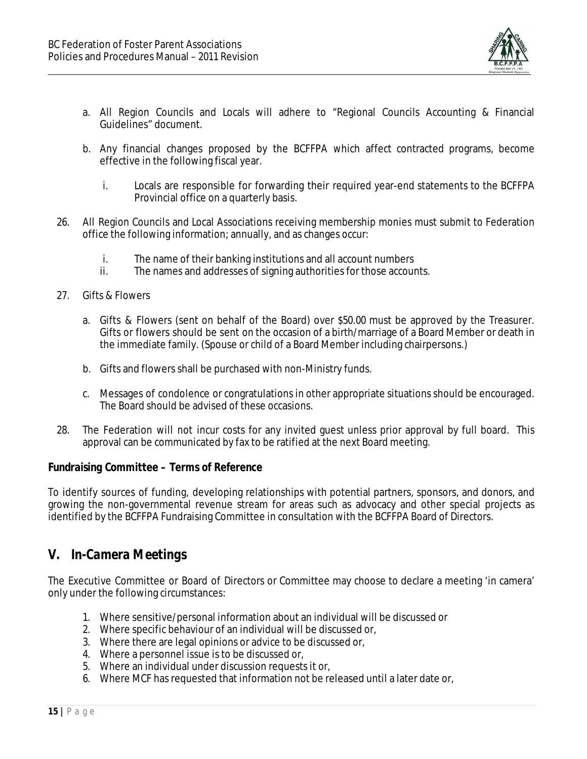

- a. All Region Councils and Locals will adhere to "Regional Councils Accounting & Financial Guidelines" document.
- b. Any financial changes proposed by the BCFFPA which affect contracted programs, become effective in the following fiscal year.
	- i. Locals are responsible for forwarding their required year-end statements to the BCFFPA Provincial office on a quarterly basis.
- 26. All Region Councils and Local Associations receiving membership monies must submit to Federation office the following information; annually, and as changes occur:
	- i. The name of their banking institutions and all account numbers
	- ii. The names and addresses of signing authorities for those accounts.
- 27. Gifts & Flowers
	- a. Gifts & Flowers (sent on behalf of the Board) over \$50.00 must be approved by the Treasurer. Gifts or flowers should be sent on the occasion of a birth/marriage of a Board Member or death in the immediate family. (Spouse or child of a Board Member including chairpersons.)
	- b. Gifts and flowers shall be purchased with non-Ministry funds.
	- c. Messages of condolence or congratulations in other appropriate situations should be encouraged. The Board should be advised of these occasions.
- 28. The Federation will not incur costs for any invited guest unless prior approval by full board. This approval can be communicated by fax to be ratified at the next Board meeting.

### *Fundraising Committee – Terms of Reference*

To identify sources of funding, developing relationships with potential partners, sponsors, and donors, and growing the non-governmental revenue stream for areas such as advocacy and other special projects as identified by the BCFFPA Fundraising Committee in consultation with the BCFFPA Board of Directors.

# *V. In-Camera Meetings*

The Executive Committee or Board of Directors or Committee may choose to declare a meeting 'in camera' only under the following circumstances:

- 1. Where sensitive/personal information about an individual will be discussed or
- 2. Where specific behaviour of an individual will be discussed or,
- 3. Where there are legal opinions or advice to be discussed or,
- 4. Where a personnel issue is to be discussed or,
- 5. Where an individual under discussion requests it or,
- 6. Where MCF has requested that information not be released until a later date or,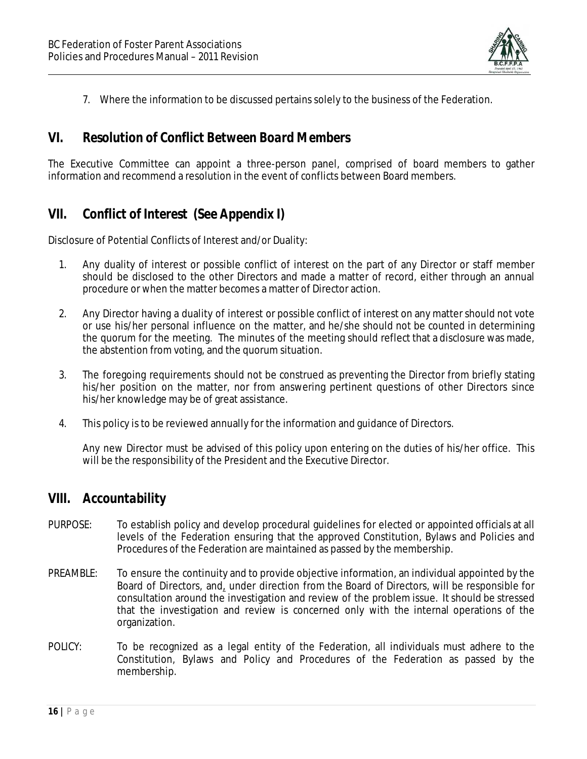

7. Where the information to be discussed pertains solely to the business of the Federation.

### *VI. Resolution of Conflict Between Board Members*

The Executive Committee can appoint a three-person panel, comprised of board members to gather information and recommend a resolution in the event of conflicts between Board members.

# *VII. Conflict of Interest (See Appendix I)*

Disclosure of Potential Conflicts of Interest and/or Duality:

- 1. Any duality of interest or possible conflict of interest on the part of any Director or staff member should be disclosed to the other Directors and made a matter of record, either through an annual procedure or when the matter becomes a matter of Director action.
- 2. Any Director having a duality of interest or possible conflict of interest on any matter should not vote or use his/her personal influence on the matter, and he/she should not be counted in determining the quorum for the meeting. The minutes of the meeting should reflect that a disclosure was made, the abstention from voting, and the quorum situation.
- 3. The foregoing requirements should not be construed as preventing the Director from briefly stating his/her position on the matter, nor from answering pertinent questions of other Directors since his/her knowledge may be of great assistance.
- 4. This policy is to be reviewed annually for the information and guidance of Directors.

Any new Director must be advised of this policy upon entering on the duties of his/her office. This will be the responsibility of the President and the Executive Director.

### *VIII. Accountability*

- PURPOSE: To establish policy and develop procedural guidelines for elected or appointed officials at all levels of the Federation ensuring that the approved Constitution, Bylaws and Policies and Procedures of the Federation are maintained as passed by the membership.
- PREAMBLE: To ensure the continuity and to provide objective information, an individual appointed by the Board of Directors, and, under direction from the Board of Directors, will be responsible for consultation around the investigation and review of the problem issue. It should be stressed that the investigation and review is concerned only with the internal operations of the organization.
- POLICY: To be recognized as a legal entity of the Federation, all individuals must adhere to the Constitution, Bylaws and Policy and Procedures of the Federation as passed by the membership.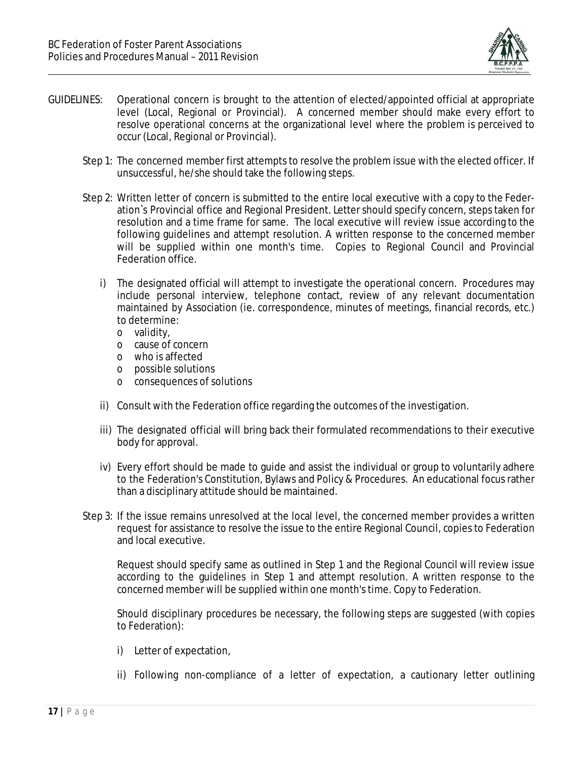

- GUIDELINES: Operational concern is brought to the attention of elected/appointed official at appropriate level (Local, Regional or Provincial). A concerned member should make every effort to resolve operational concerns at the organizational level where the problem is perceived to occur (Local, Regional or Provincial).
	- Step 1: The concerned member first attempts to resolve the problem issue with the elected officer. If unsuccessful, he/she should take the following steps.
	- Step 2: Written letter of concern is submitted to the entire local executive with a copy to the Federation`s Provincial office and Regional President. Lettershould specify concern, steps taken for resolution and a time frame for same. The local executive will review issue according to the following guidelines and attempt resolution. A written response to the concerned member will be supplied within one month's time. Copies to Regional Council and Provincial Federation office.
		- i) The designated official will attempt to investigate the operational concern. Procedures may include personal interview, telephone contact, review of any relevant documentation maintained by Association (ie. correspondence, minutes of meetings, financial records, etc.) to determine:
			- o validity,
			- o cause of concern
			- o who is affected
			- o possible solutions
			- o consequences of solutions
		- ii) Consult with the Federation office regarding the outcomes of the investigation.
		- iii) The designated official will bring back their formulated recommendations to their executive body for approval.
		- iv) Every effort should be made to guide and assist the individual or group to voluntarily adhere to the Federation's Constitution, Bylaws and Policy & Procedures. An educational focus rather than a disciplinary attitude should be maintained.
	- Step 3: If the issue remains unresolved at the local level, the concerned member provides a written request for assistance to resolve the issue to the entire Regional Council, copies to Federation and local executive.

Request should specify same as outlined in Step 1 and the Regional Council will review issue according to the guidelines in Step 1 and attempt resolution. A written response to the concerned member will be supplied within one month's time. Copy to Federation.

Should disciplinary procedures be necessary, the following steps are suggested (with copies to Federation):

- i) Letter of expectation,
- ii) Following non-compliance of a letter of expectation, a cautionary letter outlining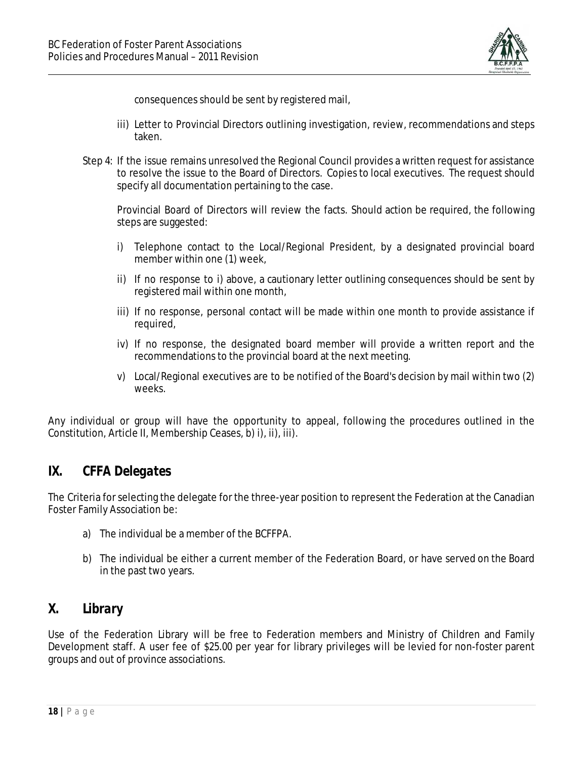

consequences should be sent by registered mail,

- iii) Letter to Provincial Directors outlining investigation, review, recommendations and steps taken.
- Step 4: If the issue remains unresolved the Regional Council provides a written request for assistance to resolve the issue to the Board of Directors. Copies to local executives. The request should specify all documentation pertaining to the case.

Provincial Board of Directors will review the facts. Should action be required, the following steps are suggested:

- i) Telephone contact to the Local/Regional President, by a designated provincial board member within one (1) week,
- ii) If no response to i) above, a cautionary letter outlining consequences should be sent by registered mail within one month,
- iii) If no response, personal contact will be made within one month to provide assistance if required,
- iv) If no response, the designated board member will provide a written report and the recommendations to the provincial board at the next meeting.
- v) Local/Regional executives are to be notified of the Board's decision by mail within two (2) weeks.

Any individual or group will have the opportunity to appeal, following the procedures outlined in the Constitution, Article II, Membership Ceases, b) i), ii), iii).

# *IX. CFFA Delegates*

The Criteria forselecting the delegate for the three-year position to represent the Federation at the Canadian Foster Family Association be:

- a) The individual be a member of the BCFFPA.
- b) The individual be either a current member of the Federation Board, or have served on the Board in the past two years.

# *X. Library*

Use of the Federation Library will be free to Federation members and Ministry of Children and Family Development staff. A user fee of \$25.00 per year for library privileges will be levied for non-foster parent groups and out of province associations.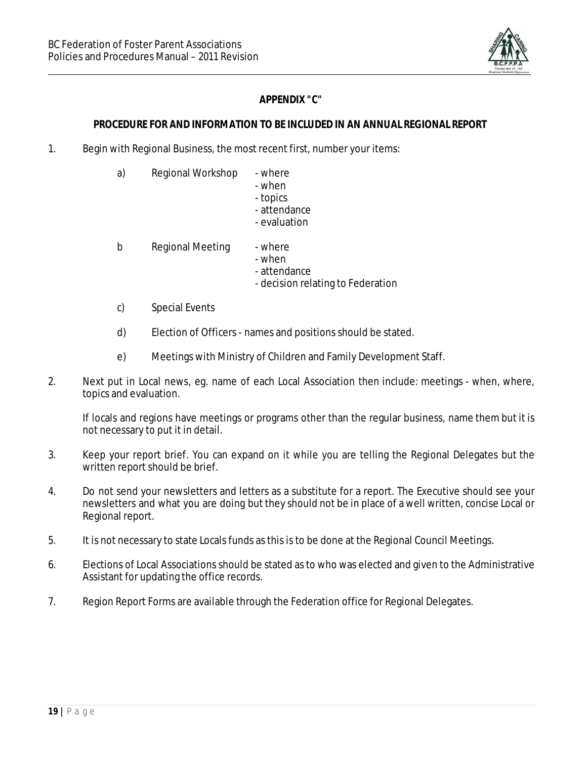

### *APPENDIX "C"*

### *PROCEDURE FOR AND INFORMATION TO BE INCLUDED IN AN ANNUAL REGIONAL REPORT*

1. Begin with Regional Business, the most recent first, number your items:

| a) | Regional Workshop | - where   |
|----|-------------------|-----------|
|    |                   | المصطارين |

- when - topics
- attendance
- evaluation
- b Regional Meeting where
	- when
	- attendance
	- decision relating to Federation
- c) Special Events
- d) Election of Officers names and positions should be stated.
- e) Meetings with Ministry of Children and Family Development Staff.
- 2. Next put in Local news, eg. name of each Local Association then include: meetings when, where, topics and evaluation.

If locals and regions have meetings or programs other than the regular business, name them but it is not necessary to put it in detail.

- 3. Keep your report brief. You can expand on it while you are telling the Regional Delegates but the written report should be brief.
- 4. Do not send your newsletters and letters as a substitute for a report. The Executive should see your newsletters and what you are doing but they should not be in place of a well written, concise Local or Regional report.
- 5. It is not necessary to state Locals funds as this is to be done at the Regional Council Meetings.
- 6. Elections of Local Associations should be stated as to who was elected and given to the Administrative Assistant for updating the office records.
- 7. Region Report Forms are available through the Federation office for Regional Delegates.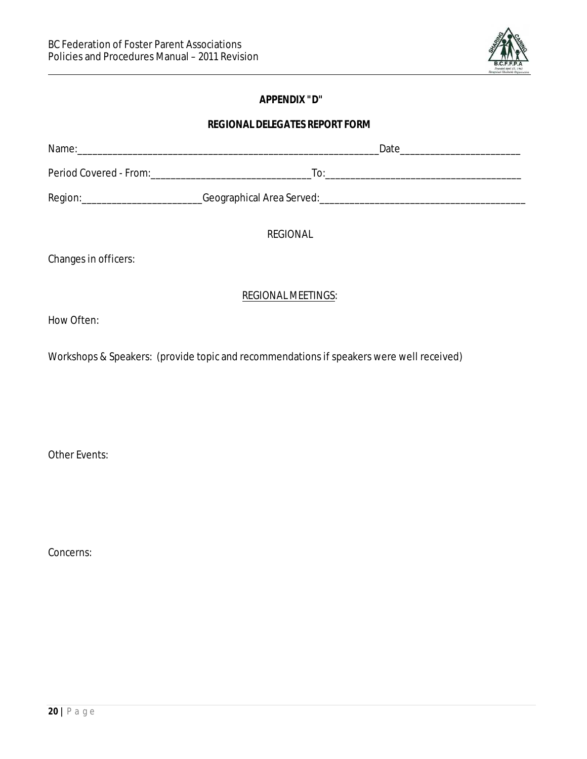

### *APPENDIX "D"*

# *REGIONAL DELEGATES REPORT FORM*

|                      | <b>REGIONAL</b>                                                                          |  |
|----------------------|------------------------------------------------------------------------------------------|--|
| Changes in officers: |                                                                                          |  |
|                      | <b>REGIONAL MEETINGS:</b>                                                                |  |
| How Often:           |                                                                                          |  |
|                      | Workshops & Speakers: (provide topic and recommendations if speakers were well received) |  |

Other Events:

Concerns: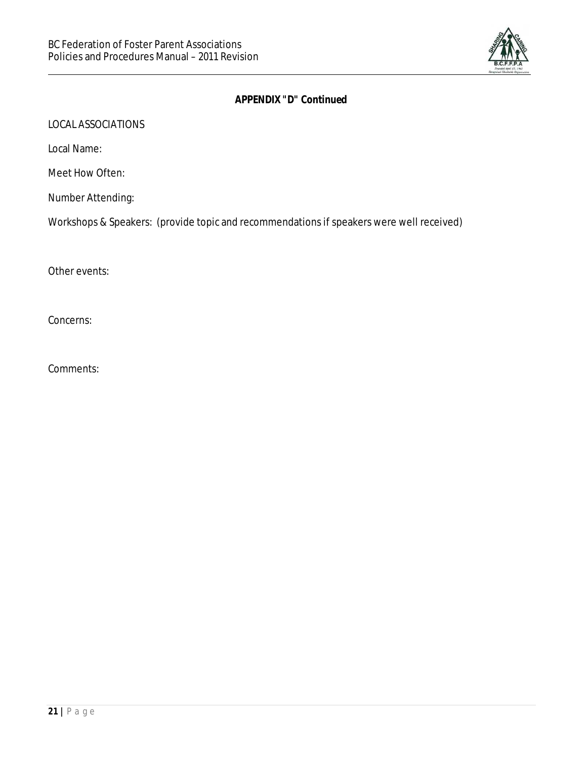

|  | APPENDIX "D" Continued |
|--|------------------------|
|--|------------------------|

LOCAL ASSOCIATIONS

Local Name:

Meet How Often:

Number Attending:

Workshops & Speakers: (provide topic and recommendations if speakers were well received)

Other events:

Concerns:

Comments: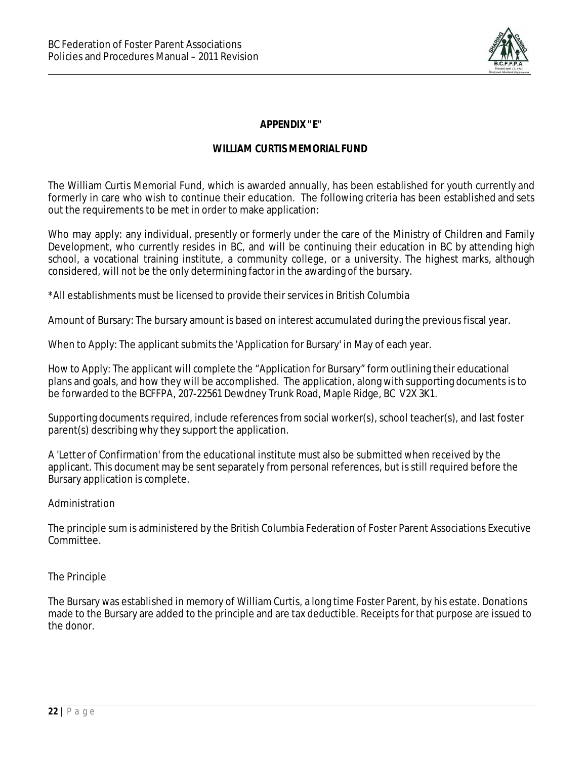

*APPENDIX "E"*

### *WILLIAM CURTIS MEMORIAL FUND*

The William Curtis Memorial Fund, which is awarded annually, has been established for youth currently and formerly in care who wish to continue their education. The following criteria has been established and sets out the requirements to be met in order to make application:

Who may apply: any individual, presently or formerly under the care of the Ministry of Children and Family Development, who currently resides in BC, and will be continuing their education in BC by attending high school, a vocational training institute, a community college, or a university. The highest marks, although considered, will not be the only determining factor in the awarding of the bursary.

\*All establishments must be licensed to provide theirservices in British Columbia

Amount of Bursary: The bursary amount is based on interest accumulated during the previous fiscal year.

When to Apply: The applicant submits the 'Application for Bursary' in May of each year.

How to Apply: The applicant will complete the "Application for Bursary" form outlining their educational plans and goals, and how they will be accomplished. The application, along with supporting documents is to be forwarded to the BCFFPA, 207-22561 Dewdney Trunk Road, Maple Ridge, BC V2X 3K1.

Supporting documents required, include references from social worker(s), school teacher(s), and last foster parent(s) describing why they support the application.

A 'Letter of Confirmation' from the educational institute must also be submitted when received by the applicant. This document may be sent separately from personal references, but is still required before the Bursary application is complete.

#### Administration

The principle sum is administered by the British Columbia Federation of Foster Parent Associations Executive Committee.

### The Principle

The Bursary was established in memory of William Curtis, a long time Foster Parent, by his estate. Donations made to the Bursary are added to the principle and are tax deductible. Receipts for that purpose are issued to the donor.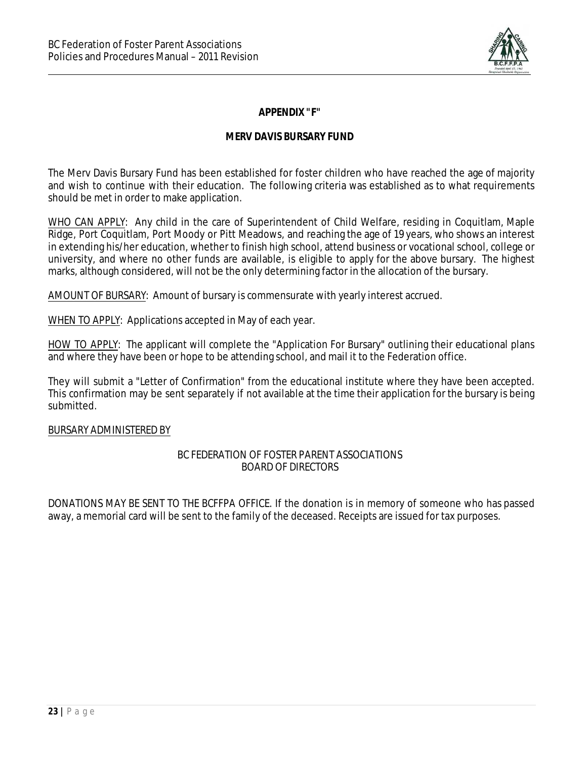

*APPENDIX "F"*

### *MERV DAVIS BURSARY FUND*

The Merv Davis Bursary Fund has been established for foster children who have reached the age of majority and wish to continue with their education. The following criteria was established as to what requirements should be met in order to make application.

WHO CAN APPLY: Any child in the care of Superintendent of Child Welfare, residing in Coquitlam, Maple Ridge, Port Coquitlam, Port Moody or Pitt Meadows, and reaching the age of 19 years, who shows an interest in extending his/her education, whether to finish high school, attend business or vocational school, college or university, and where no other funds are available, is eligible to apply for the above bursary. The highest marks, although considered, will not be the only determining factor in the allocation of the bursary.

AMOUNT OF BURSARY: Amount of bursary is commensurate with yearly interest accrued.

WHEN TO APPLY: Applications accepted in May of each year.

HOW TO APPLY: The applicant will complete the "Application For Bursary" outlining their educational plans and where they have been or hope to be attending school, and mail it to the Federation office.

They will submit a "Letter of Confirmation" from the educational institute where they have been accepted. This confirmation may be sent separately if not available at the time their application for the bursary is being submitted.

### BURSARY ADMINISTERED BY

### BC FEDERATION OF FOSTER PARENT ASSOCIATIONS BOARD OF DIRECTORS

DONATIONS MAY BE SENT TO THE BCFFPA OFFICE. If the donation is in memory of someone who has passed away, a memorial card will be sent to the family of the deceased. Receipts are issued for tax purposes.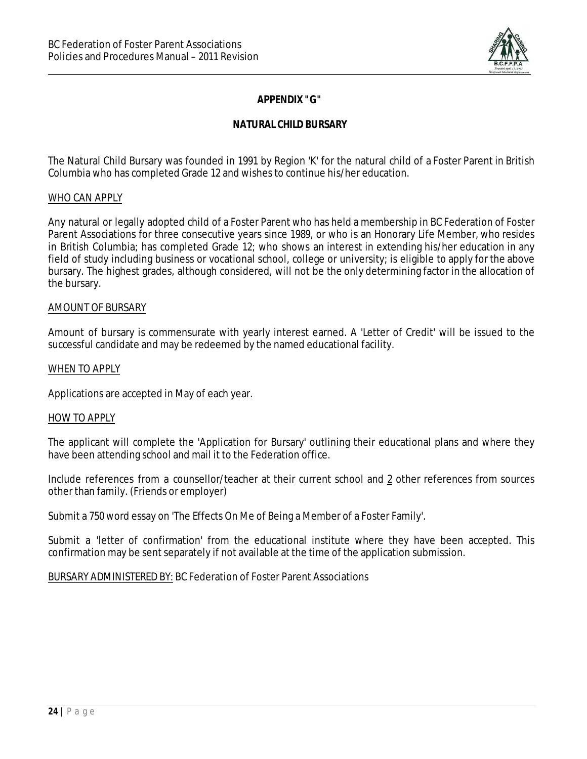

### *APPENDIX "G"*

### *NATURAL CHILD BURSARY*

The Natural Child Bursary was founded in 1991 by Region 'K' for the natural child of a Foster Parent in British Columbia who has completed Grade 12 and wishes to continue his/her education.

#### WHO CAN APPLY

Any natural or legally adopted child of a Foster Parent who has held a membership in BC Federation of Foster Parent Associations for three consecutive years since 1989, or who is an Honorary Life Member, who resides in British Columbia; has completed Grade 12; who shows an interest in extending his/her education in any field of study including business or vocational school, college or university; is eligible to apply for the above bursary. The highest grades, although considered, will not be the only determining factor in the allocation of the bursary.

#### AMOUNT OF BURSARY

Amount of bursary is commensurate with yearly interest earned. A 'Letter of Credit' will be issued to the successful candidate and may be redeemed by the named educational facility.

#### WHEN TO APPLY

Applications are accepted in May of each year.

#### HOW TO APPLY

The applicant will complete the 'Application for Bursary' outlining their educational plans and where they have been attending school and mail it to the Federation office.

Include references from a counsellor/teacher at their current school and 2 other references from sources other than family. (Friends or employer)

Submit a 750 word essay on 'The Effects On Me of Being a Member of a Foster Family'.

Submit a 'letter of confirmation' from the educational institute where they have been accepted. This confirmation may be sent separately if not available at the time of the application submission.

BURSARY ADMINISTERED BY: BC Federation of Foster Parent Associations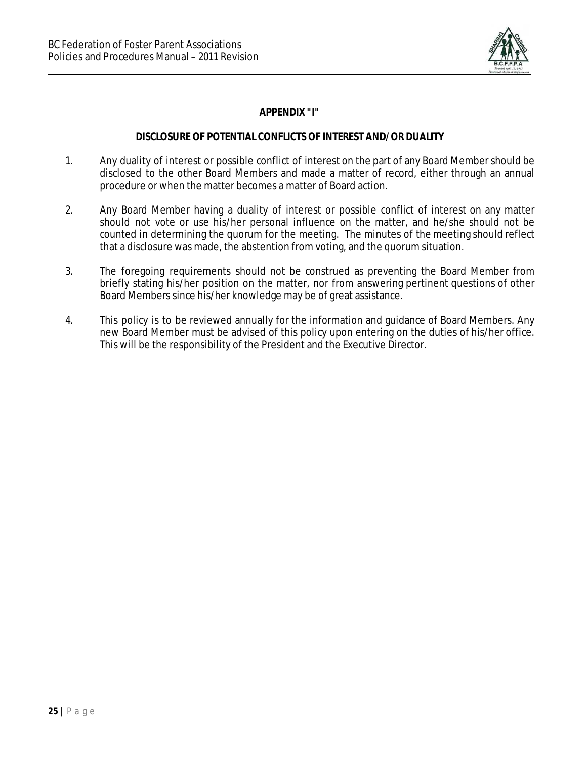

*APPENDIX "I"*

### *DISCLOSURE OF POTENTIAL CONFLICTS OF INTEREST AND/OR DUALITY*

- 1. Any duality of interest or possible conflict of interest on the part of any Board Membershould be disclosed to the other Board Members and made a matter of record, either through an annual procedure or when the matter becomes a matter of Board action.
- 2. Any Board Member having a duality of interest or possible conflict of interest on any matter should not vote or use his/her personal influence on the matter, and he/she should not be counted in determining the quorum for the meeting. The minutes of the meeting should reflect that a disclosure was made, the abstention from voting, and the quorum situation.
- 3. The foregoing requirements should not be construed as preventing the Board Member from briefly stating his/her position on the matter, nor from answering pertinent questions of other Board Members since his/her knowledge may be of great assistance.
- 4. This policy is to be reviewed annually for the information and guidance of Board Members. Any new Board Member must be advised of this policy upon entering on the duties of his/her office. This will be the responsibility of the President and the Executive Director.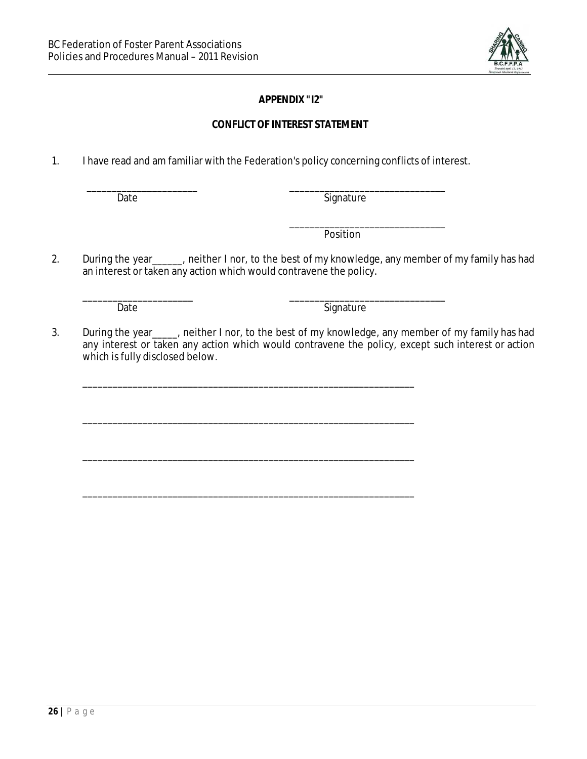

### *APPENDIX "I2"*

### *CONFLICT OF INTEREST STATEMENT*

1. I have read and am familiar with the Federation's policy concerning conflicts of interest.

\_\_\_\_\_\_\_\_\_\_\_\_\_\_\_\_\_\_\_\_\_\_ \_\_\_\_\_\_\_\_\_\_\_\_\_\_\_\_\_\_\_\_\_\_\_\_\_\_\_\_\_\_\_ Date Signature

> \_\_\_\_\_\_\_\_\_\_\_\_\_\_\_\_\_\_\_\_\_\_\_\_\_\_\_\_\_\_\_ Position

2. During the year\_\_\_\_\_, neither I nor, to the best of my knowledge, any member of my family has had an interest or taken any action which would contravene the policy.

\_\_\_\_\_\_\_\_\_\_\_\_\_\_\_\_\_\_\_\_\_\_ \_\_\_\_\_\_\_\_\_\_\_\_\_\_\_\_\_\_\_\_\_\_\_\_\_\_\_\_\_\_\_

Date Signature

3. During the year heather I nor, to the best of my knowledge, any member of my family has had any interest or taken any action which would contravene the policy, except such interest or action which is fully disclosed below.

\_\_\_\_\_\_\_\_\_\_\_\_\_\_\_\_\_\_\_\_\_\_\_\_\_\_\_\_\_\_\_\_\_\_\_\_\_\_\_\_\_\_\_\_\_\_\_\_\_\_\_\_\_\_\_\_\_\_\_\_\_\_\_\_\_\_

\_\_\_\_\_\_\_\_\_\_\_\_\_\_\_\_\_\_\_\_\_\_\_\_\_\_\_\_\_\_\_\_\_\_\_\_\_\_\_\_\_\_\_\_\_\_\_\_\_\_\_\_\_\_\_\_\_\_\_\_\_\_\_\_\_\_

\_\_\_\_\_\_\_\_\_\_\_\_\_\_\_\_\_\_\_\_\_\_\_\_\_\_\_\_\_\_\_\_\_\_\_\_\_\_\_\_\_\_\_\_\_\_\_\_\_\_\_\_\_\_\_\_\_\_\_\_\_\_\_\_\_\_

\_\_\_\_\_\_\_\_\_\_\_\_\_\_\_\_\_\_\_\_\_\_\_\_\_\_\_\_\_\_\_\_\_\_\_\_\_\_\_\_\_\_\_\_\_\_\_\_\_\_\_\_\_\_\_\_\_\_\_\_\_\_\_\_\_\_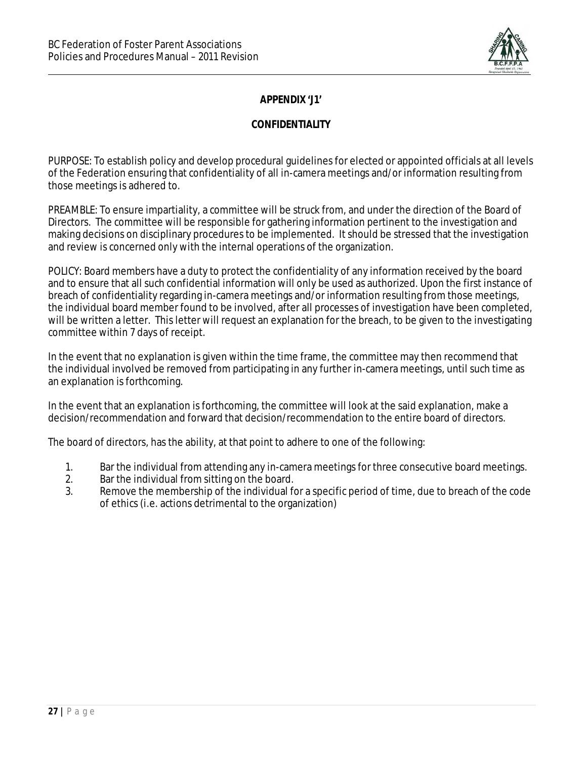

### *APPENDIX 'J1'*

### *CONFIDENTIALITY*

PURPOSE: To establish policy and develop procedural guidelines for elected or appointed officials at all levels of the Federation ensuring that confidentiality of all in-camera meetings and/or information resulting from those meetings is adhered to.

PREAMBLE: To ensure impartiality, a committee will be struck from, and under the direction of the Board of Directors. The committee will be responsible for gathering information pertinent to the investigation and making decisions on disciplinary procedures to be implemented. It should be stressed that the investigation and review is concerned only with the internal operations of the organization.

POLICY: Board members have a duty to protect the confidentiality of any information received by the board and to ensure that all such confidential information will only be used as authorized. Upon the first instance of breach of confidentiality regarding in-camera meetings and/or information resulting from those meetings, the individual board member found to be involved, after all processes of investigation have been completed, will be written a letter. This letter will request an explanation for the breach, to be given to the investigating committee within 7 days of receipt.

In the event that no explanation is given within the time frame, the committee may then recommend that the individual involved be removed from participating in any further in-camera meetings, until such time as an explanation is forthcoming.

In the event that an explanation is forthcoming, the committee will look at the said explanation, make a decision/recommendation and forward that decision/recommendation to the entire board of directors.

The board of directors, has the ability, at that point to adhere to one of the following:

- 1. Bar the individual from attending any in-camera meetings for three consecutive board meetings.
- 2. Bar the individual from sitting on the board.
- 3. Remove the membership of the individual for a specific period of time, due to breach of the code of ethics (i.e. actions detrimental to the organization)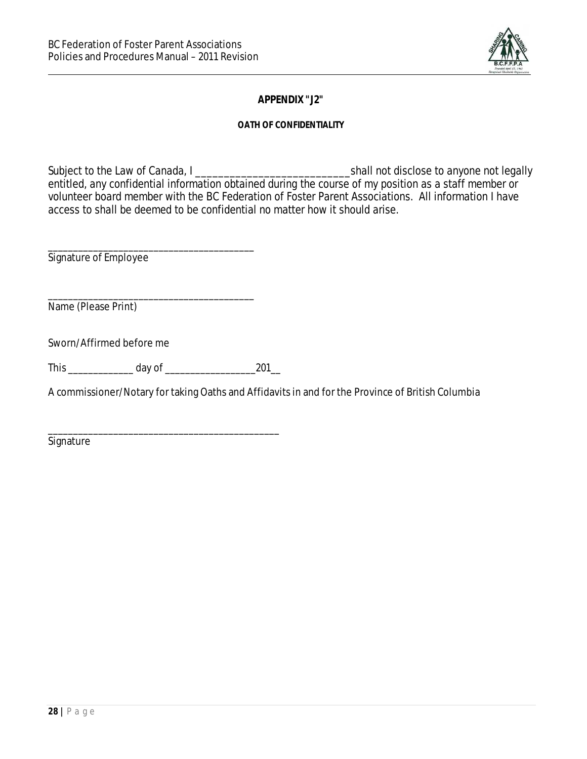

*APPENDIX "J2"*

*OATH OF CONFIDENTIALITY*

Subject to the Law of Canada, I \_\_\_\_\_\_\_\_\_\_\_\_\_\_\_\_\_\_\_\_\_\_\_\_\_\_\_shall not disclose to anyone not legally entitled, any confidential information obtained during the course of my position as a staff member or volunteer board member with the BC Federation of Foster Parent Associations. All information I have access to shall be deemed to be confidential no matter how it should arise.

\_\_\_\_\_\_\_\_\_\_\_\_\_\_\_\_\_\_\_\_\_\_\_\_\_\_\_\_\_\_\_\_\_\_\_\_\_\_\_\_\_ Signature of Employee

\_\_\_\_\_\_\_\_\_\_\_\_\_\_\_\_\_\_\_\_\_\_\_\_\_\_\_\_\_\_\_\_\_\_\_\_\_\_\_\_\_ Name (Please Print)

Sworn/Affirmed before me

This \_\_\_\_\_\_\_\_\_\_\_\_\_ day of \_\_\_\_\_\_\_\_\_\_\_\_\_\_\_\_\_\_201\_\_

A commissioner/Notary for taking Oaths and Affidavits in and for the Province of British Columbia

\_\_\_\_\_\_\_\_\_\_\_\_\_\_\_\_\_\_\_\_\_\_\_\_\_\_\_\_\_\_\_\_\_\_\_\_\_\_\_\_\_\_\_\_\_\_ **Signature**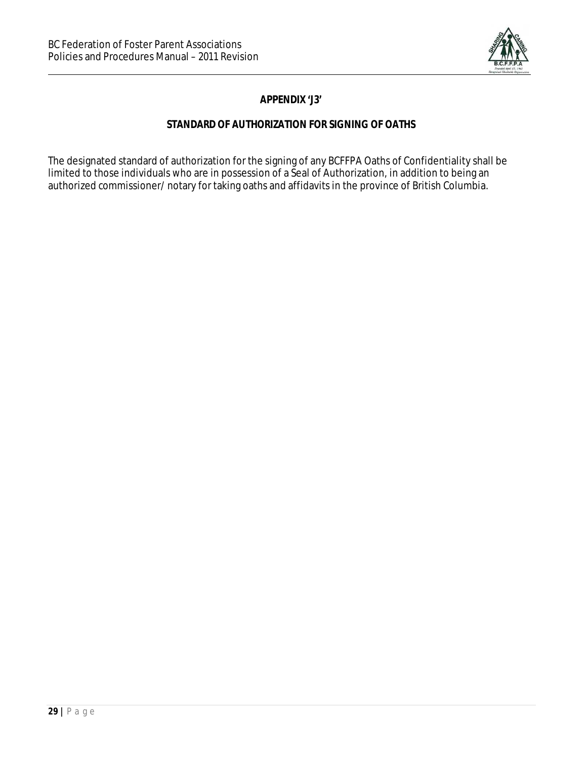

*APPENDIX 'J3'*

### *STANDARD OF AUTHORIZATION FOR SIGNING OF OATHS*

The designated standard of authorization for the signing of any BCFFPA Oaths of Confidentiality shall be limited to those individuals who are in possession of a Seal of Authorization, in addition to being an authorized commissioner/ notary for taking oaths and affidavits in the province of British Columbia.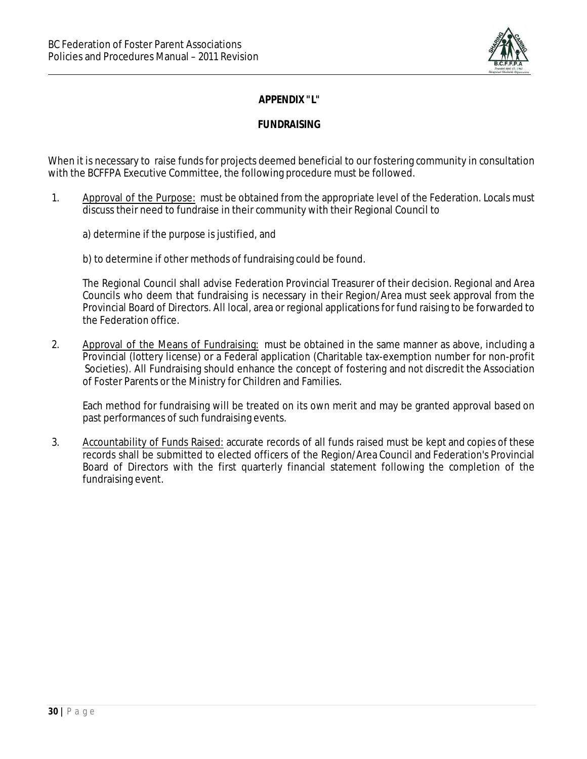

### *APPENDIX "L"*

*FUNDRAISING*

When it is necessary to raise funds for projects deemed beneficial to our fostering community in consultation with the BCFFPA Executive Committee, the following procedure must be followed.

- 1. Approval of the Purpose: must be obtained from the appropriate level of the Federation. Locals must discuss their need to fundraise in their community with their Regional Council to
	- a) determine if the purpose is justified, and
	- b) to determine if other methods of fundraising could be found.

The Regional Council shall advise Federation Provincial Treasurer of their decision. Regional and Area Councils who deem that fundraising is necessary in their Region/Area must seek approval from the Provincial Board of Directors. All local, area or regional applications for fund raising to be forwarded to the Federation office.

2. Approval of the Means of Fundraising: must be obtained in the same manner as above, including a Provincial (lottery license) or a Federal application (Charitable tax-exemption number for non-profit Societies). All Fundraising should enhance the concept of fostering and not discredit the Association of Foster Parents or the Ministry for Children and Families.

Each method for fundraising will be treated on its own merit and may be granted approval based on past performances of such fundraising events.

3. Accountability of Funds Raised: accurate records of all funds raised must be kept and copies of these records shall be submitted to elected officers of the Region/Area Council and Federation's Provincial Board of Directors with the first quarterly financial statement following the completion of the fundraising event.